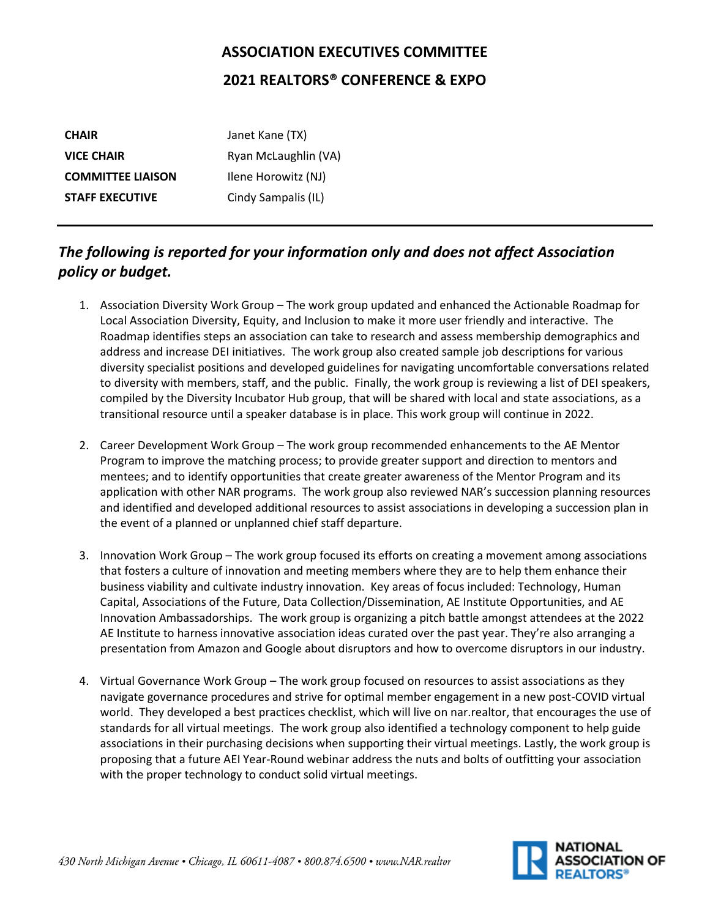## **ASSOCIATION EXECUTIVES COMMITTEE 2021 REALTORS® CONFERENCE & EXPO**

| <b>CHAIR</b>             | Janet Kane (TX)      |
|--------------------------|----------------------|
| <b>VICE CHAIR</b>        | Ryan McLaughlin (VA) |
| <b>COMMITTEE LIAISON</b> | Ilene Horowitz (NJ)  |
| <b>STAFF EXECUTIVE</b>   | Cindy Sampalis (IL)  |

## *The following is reported for your information only and does not affect Association policy or budget.*

- 1. Association Diversity Work Group The work group updated and enhanced the Actionable Roadmap for Local Association Diversity, Equity, and Inclusion to make it more user friendly and interactive. The Roadmap identifies steps an association can take to research and assess membership demographics and address and increase DEI initiatives. The work group also created sample job descriptions for various diversity specialist positions and developed guidelines for navigating uncomfortable conversations related to diversity with members, staff, and the public. Finally, the work group is reviewing a list of DEI speakers, compiled by the Diversity Incubator Hub group, that will be shared with local and state associations, as a transitional resource until a speaker database is in place. This work group will continue in 2022.
- 2. Career Development Work Group The work group recommended enhancements to the AE Mentor Program to improve the matching process; to provide greater support and direction to mentors and mentees; and to identify opportunities that create greater awareness of the Mentor Program and its application with other NAR programs. The work group also reviewed NAR's succession planning resources and identified and developed additional resources to assist associations in developing a succession plan in the event of a planned or unplanned chief staff departure.
- 3. Innovation Work Group The work group focused its efforts on creating a movement among associations that fosters a culture of innovation and meeting members where they are to help them enhance their business viability and cultivate industry innovation. Key areas of focus included: Technology, Human Capital, Associations of the Future, Data Collection/Dissemination, AE Institute Opportunities, and AE Innovation Ambassadorships. The work group is organizing a pitch battle amongst attendees at the 2022 AE Institute to harness innovative association ideas curated over the past year. They're also arranging a presentation from Amazon and Google about disruptors and how to overcome disruptors in our industry.
- 4. Virtual Governance Work Group The work group focused on resources to assist associations as they navigate governance procedures and strive for optimal member engagement in a new post-COVID virtual world. They developed a best practices checklist, which will live on nar.realtor, that encourages the use of standards for all virtual meetings. The work group also identified a technology component to help guide associations in their purchasing decisions when supporting their virtual meetings. Lastly, the work group is proposing that a future AEI Year-Round webinar address the nuts and bolts of outfitting your association with the proper technology to conduct solid virtual meetings.

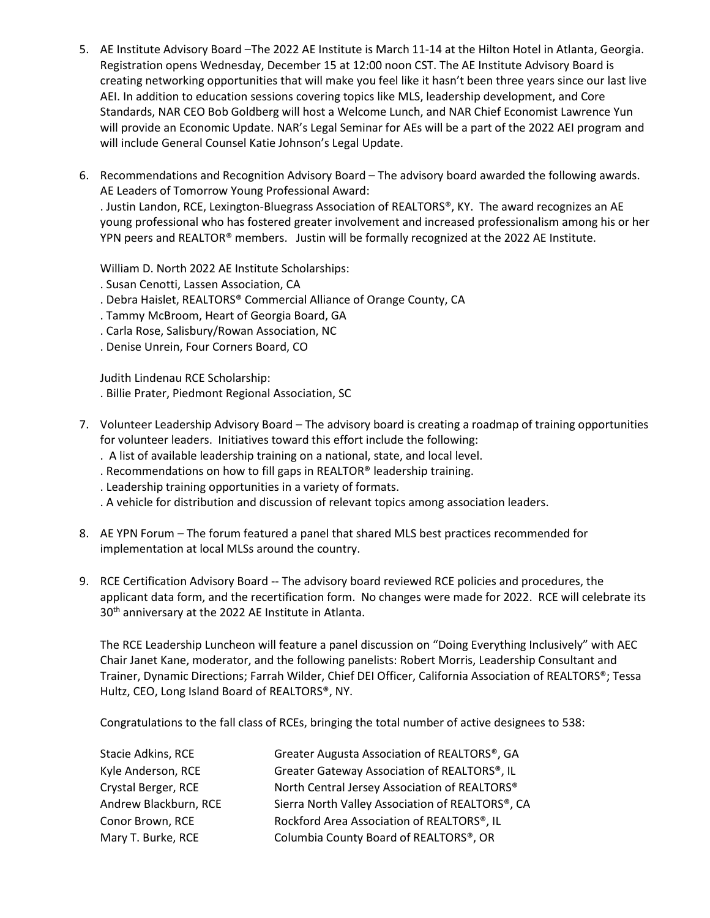- 5. AE Institute Advisory Board –The 2022 AE Institute is March 11-14 at the Hilton Hotel in Atlanta, Georgia. Registration opens Wednesday, December 15 at 12:00 noon CST. The AE Institute Advisory Board is creating networking opportunities that will make you feel like it hasn't been three years since our last live AEI. In addition to education sessions covering topics like MLS, leadership development, and Core Standards, NAR CEO Bob Goldberg will host a Welcome Lunch, and NAR Chief Economist Lawrence Yun will provide an Economic Update. NAR's Legal Seminar for AEs will be a part of the 2022 AEI program and will include General Counsel Katie Johnson's Legal Update.
- 6. Recommendations and Recognition Advisory Board The advisory board awarded the following awards. AE Leaders of Tomorrow Young Professional Award: . Justin Landon, RCE, Lexington-Bluegrass Association of REALTORS®, KY. The award recognizes an AE young professional who has fostered greater involvement and increased professionalism among his or her YPN peers and REALTOR® members. Justin will be formally recognized at the 2022 AE Institute.

William D. North 2022 AE Institute Scholarships:

- . Susan Cenotti, Lassen Association, CA
- . Debra Haislet, REALTORS® Commercial Alliance of Orange County, CA
- . Tammy McBroom, Heart of Georgia Board, GA
- . Carla Rose, Salisbury/Rowan Association, NC
- . Denise Unrein, Four Corners Board, CO

Judith Lindenau RCE Scholarship:

. Billie Prater, Piedmont Regional Association, SC

- 7. Volunteer Leadership Advisory Board The advisory board is creating a roadmap of training opportunities for volunteer leaders. Initiatives toward this effort include the following:
	- . A list of available leadership training on a national, state, and local level.
	- . Recommendations on how to fill gaps in REALTOR® leadership training.
	- . Leadership training opportunities in a variety of formats.
	- . A vehicle for distribution and discussion of relevant topics among association leaders.
- 8. AE YPN Forum The forum featured a panel that shared MLS best practices recommended for implementation at local MLSs around the country.
- 9. RCE Certification Advisory Board -- The advisory board reviewed RCE policies and procedures, the applicant data form, and the recertification form. No changes were made for 2022. RCE will celebrate its 30<sup>th</sup> anniversary at the 2022 AE Institute in Atlanta.

The RCE Leadership Luncheon will feature a panel discussion on "Doing Everything Inclusively" with AEC Chair Janet Kane, moderator, and the following panelists: Robert Morris, Leadership Consultant and Trainer, Dynamic Directions; Farrah Wilder, Chief DEI Officer, California Association of REALTORS®; Tessa Hultz, CEO, Long Island Board of REALTORS®, NY.

Congratulations to the fall class of RCEs, bringing the total number of active designees to 538:

| <b>Stacie Adkins, RCE</b> | Greater Augusta Association of REALTORS®, GA     |
|---------------------------|--------------------------------------------------|
| Kyle Anderson, RCE        | Greater Gateway Association of REALTORS®, IL     |
| Crystal Berger, RCE       | North Central Jersey Association of REALTORS®    |
| Andrew Blackburn, RCE     | Sierra North Valley Association of REALTORS®, CA |
| Conor Brown, RCE          | Rockford Area Association of REALTORS®, IL       |
| Mary T. Burke, RCE        | Columbia County Board of REALTORS®, OR           |